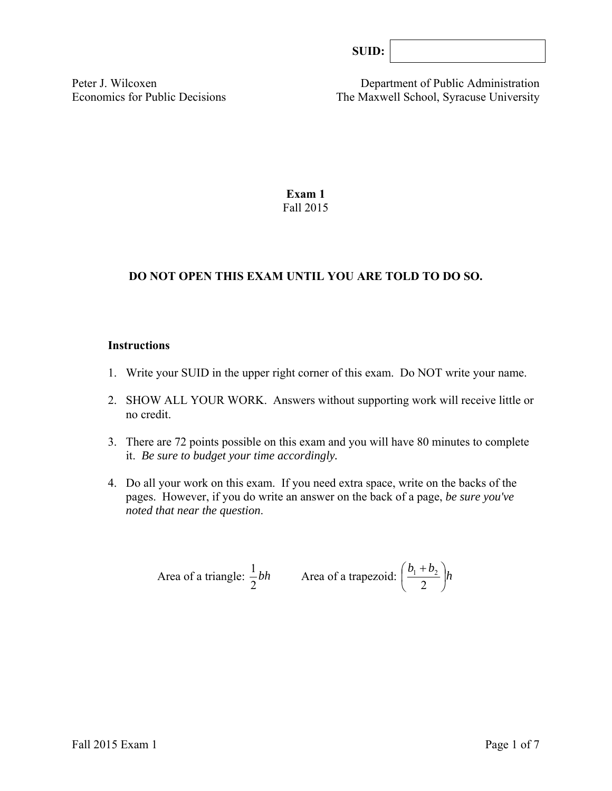| SUID: |  |
|-------|--|
|-------|--|

Peter J. Wilcoxen Department of Public Administration Economics for Public Decisions The Maxwell School, Syracuse University

> **Exam 1**  Fall 2015

# **DO NOT OPEN THIS EXAM UNTIL YOU ARE TOLD TO DO SO.**

#### **Instructions**

- 1. Write your SUID in the upper right corner of this exam. Do NOT write your name.
- 2. SHOW ALL YOUR WORK. Answers without supporting work will receive little or no credit.
- 3. There are 72 points possible on this exam and you will have 80 minutes to complete it. *Be sure to budget your time accordingly.*
- 4. Do all your work on this exam. If you need extra space, write on the backs of the pages. However, if you do write an answer on the back of a page, *be sure you've noted that near the question*.

Area of a triangle: 
$$
\frac{1}{2}bh
$$
 Area of a trapezoid:  $\left(\frac{b_1 + b_2}{2}\right)h$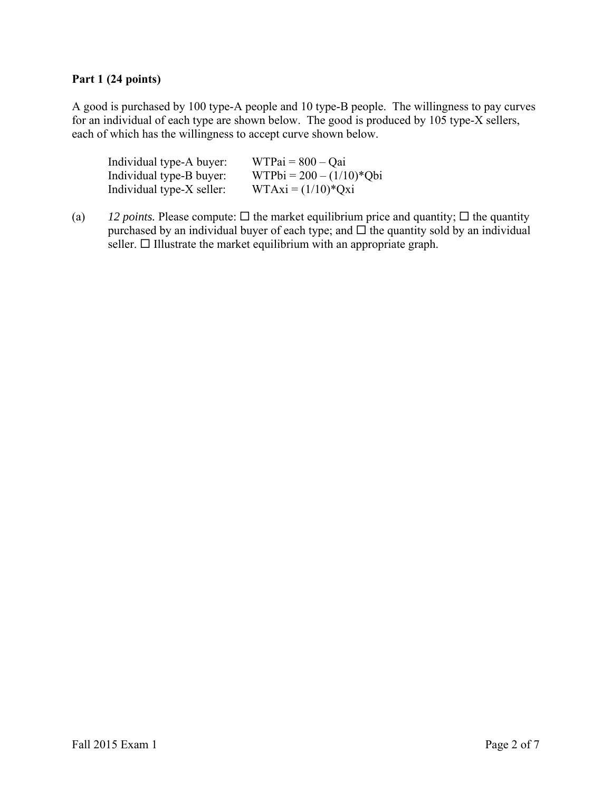# **Part 1 (24 points)**

A good is purchased by 100 type-A people and 10 type-B people. The willingness to pay curves for an individual of each type are shown below. The good is produced by 105 type-X sellers, each of which has the willingness to accept curve shown below.

| Individual type-A buyer:  | $WTPai = 800 - Qai$        |
|---------------------------|----------------------------|
| Individual type-B buyer:  | $WTPbi = 200 - (1/10)*Qbi$ |
| Individual type-X seller: | $WTAxi = (1/10)*Qxi$       |

(a) *12 points.* Please compute:  $\Box$  the market equilibrium price and quantity;  $\Box$  the quantity purchased by an individual buyer of each type; and  $\Box$  the quantity sold by an individual seller.  $\Box$  Illustrate the market equilibrium with an appropriate graph.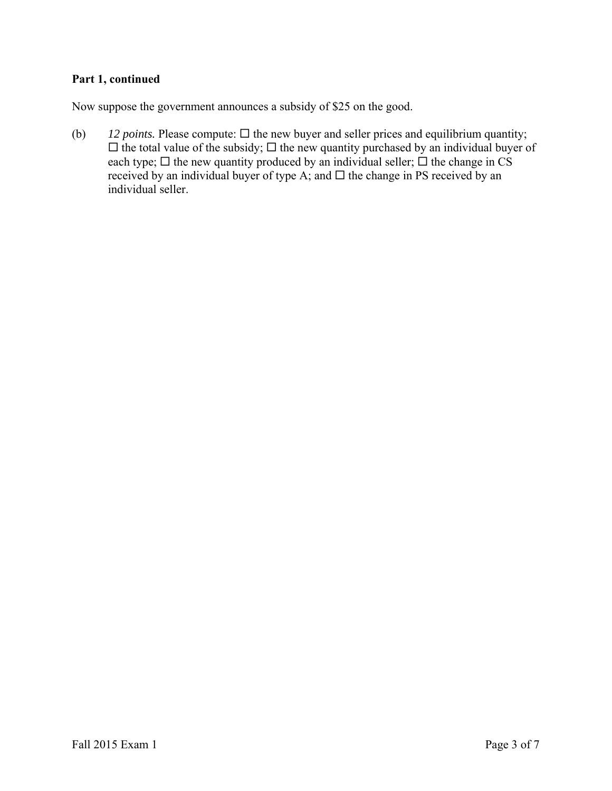# **Part 1, continued**

Now suppose the government announces a subsidy of \$25 on the good.

(b)  $12 \text{ points. Please compute: } \Box$  the new buyer and seller prices and equilibrium quantity;  $\Box$  the total value of the subsidy;  $\Box$  the new quantity purchased by an individual buyer of each type;  $\Box$  the new quantity produced by an individual seller;  $\Box$  the change in CS received by an individual buyer of type A; and  $\Box$  the change in PS received by an individual seller.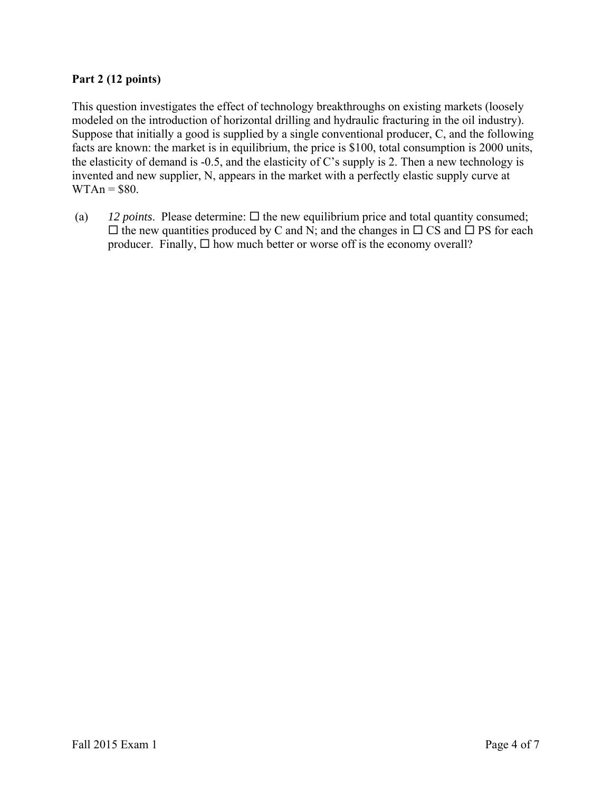### **Part 2 (12 points)**

This question investigates the effect of technology breakthroughs on existing markets (loosely modeled on the introduction of horizontal drilling and hydraulic fracturing in the oil industry). Suppose that initially a good is supplied by a single conventional producer, C, and the following facts are known: the market is in equilibrium, the price is \$100, total consumption is 2000 units, the elasticity of demand is -0.5, and the elasticity of C's supply is 2. Then a new technology is invented and new supplier, N, appears in the market with a perfectly elastic supply curve at  $WTAn = $80.$ 

(a)  $12$  *points*. Please determine:  $\Box$  the new equilibrium price and total quantity consumed;  $\Box$  the new quantities produced by C and N; and the changes in  $\Box$  CS and  $\Box$  PS for each producer. Finally,  $\Box$  how much better or worse off is the economy overall?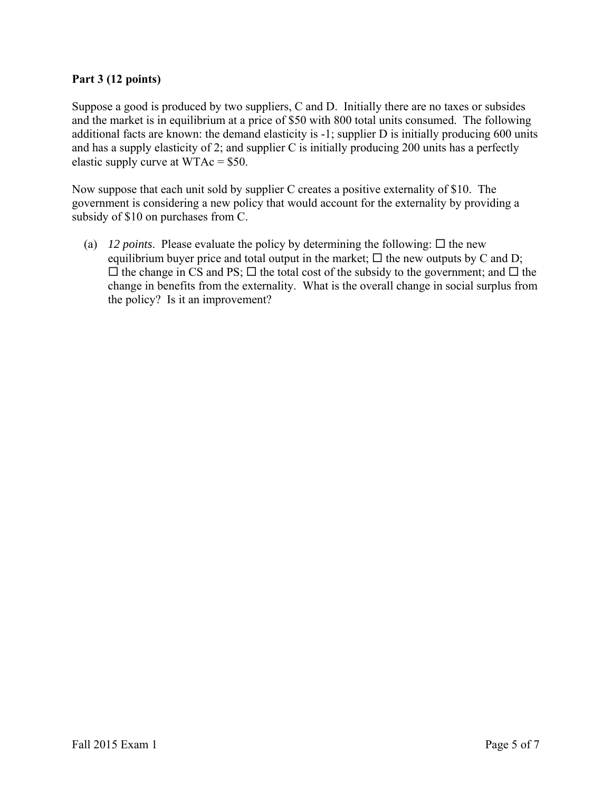### **Part 3 (12 points)**

Suppose a good is produced by two suppliers, C and D. Initially there are no taxes or subsides and the market is in equilibrium at a price of \$50 with 800 total units consumed. The following additional facts are known: the demand elasticity is -1; supplier D is initially producing 600 units and has a supply elasticity of 2; and supplier C is initially producing 200 units has a perfectly elastic supply curve at WTAc = \$50.

Now suppose that each unit sold by supplier C creates a positive externality of \$10. The government is considering a new policy that would account for the externality by providing a subsidy of \$10 on purchases from C.

(a) *12 points*. Please evaluate the policy by determining the following:  $\Box$  the new equilibrium buyer price and total output in the market;  $\Box$  the new outputs by C and D;  $\Box$  the change in CS and PS;  $\Box$  the total cost of the subsidy to the government; and  $\Box$  the change in benefits from the externality. What is the overall change in social surplus from the policy? Is it an improvement?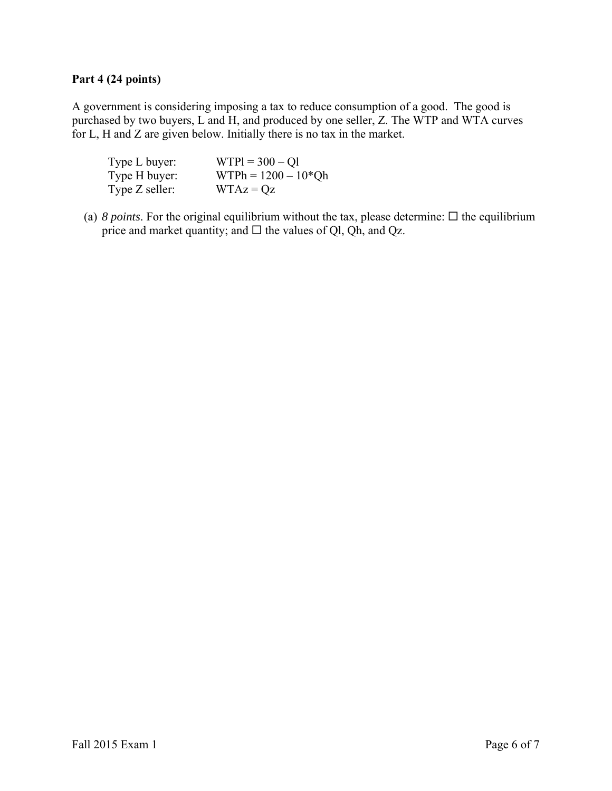### **Part 4 (24 points)**

A government is considering imposing a tax to reduce consumption of a good. The good is purchased by two buyers, L and H, and produced by one seller, Z. The WTP and WTA curves for L, H and Z are given below. Initially there is no tax in the market.

| Type L buyer:    | $WTP1 = 300 - Q1$     |
|------------------|-----------------------|
| Type H buyer:    | $WTPh = 1200 - 10*Qh$ |
| Type $Z$ seller: | $WTAz = Qz$           |

(a)  $8$  points. For the original equilibrium without the tax, please determine:  $\Box$  the equilibrium price and market quantity; and  $\Box$  the values of Ql, Qh, and Qz.